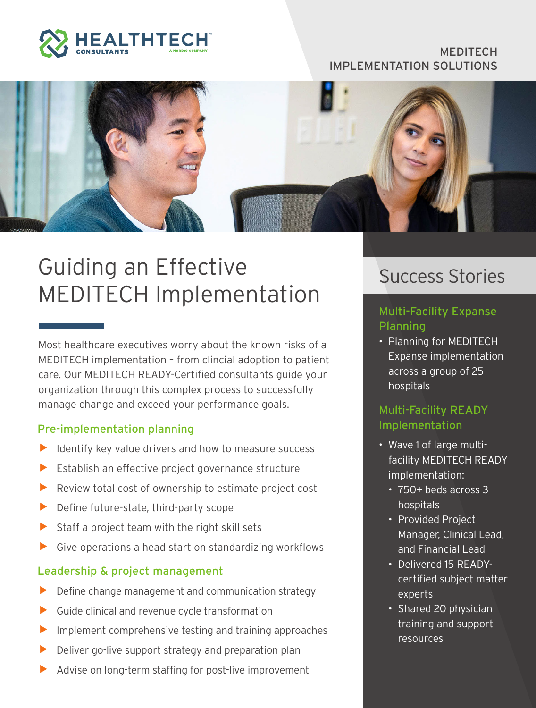

#### MEDITECH IMPLEMENTATION SOLUTIONS



# Guiding an Effective MEDITECH Implementation

Most healthcare executives worry about the known risks of a MEDITECH implementation – from clincial adoption to patient care. Our MEDITECH READY-Certified consultants guide your organization through this complex process to successfully manage change and exceed your performance goals.

#### Pre-implementation planning

- Identify key value drivers and how to measure success
- Establish an effective project governance structure
- $\blacktriangleright$  Review total cost of ownership to estimate project cost
- $\blacktriangleright$  Define future-state, third-party scope
- $\triangleright$  Staff a project team with the right skill sets
- $\triangleright$  Give operations a head start on standardizing workflows

#### Leadership & project management

- Define change management and communication strategy
- $\blacktriangleright$  Guide clinical and revenue cycle transformation
- Implement comprehensive testing and training approaches
- Deliver go-live support strategy and preparation plan
- Advise on long-term staffing for post-live improvement

# Success Stories

### Multi-Facility Expanse Planning

• Planning for MEDITECH Expanse implementation across a group of 25 hospitals

## Multi-Facility READY Implementation

- Wave 1 of large multifacility MEDITECH READY implementation:
	- 750+ beds across 3 hospitals
	- Provided Project Manager, Clinical Lead, and Financial Lead
	- Delivered 15 READYcertified subject matter experts
	- Shared 20 physician training and support resources